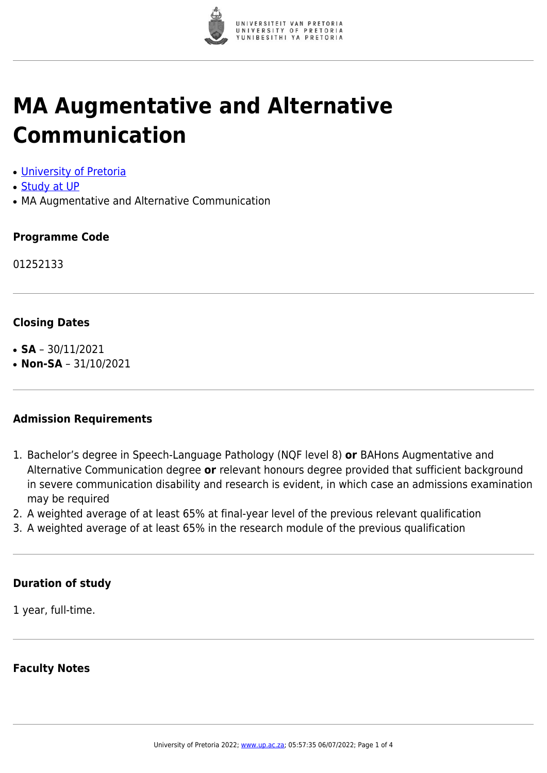

# **MA Augmentative and Alternative Communication**

- [University of Pretoria](https://www.up.ac.za/home)
- [Study at UP](https://www.up.ac.za/programmes)
- MA Augmentative and Alternative Communication

# **Programme Code**

01252133

## **Closing Dates**

- $\cdot$  **SA** 30/11/2021
- $\cdot$  **Non-SA** 31/10/2021

# **Admission Requirements**

- 1. Bachelor's degree in Speech-Language Pathology (NQF level 8) **or** BAHons Augmentative and Alternative Communication degree **or** relevant honours degree provided that sufficient background in severe communication disability and research is evident, in which case an admissions examination may be required
- 2. A weighted average of at least 65% at final-year level of the previous relevant qualification
- 3. A weighted average of at least 65% in the research module of the previous qualification

#### **Duration of study**

1 year, full-time.

#### **Faculty Notes**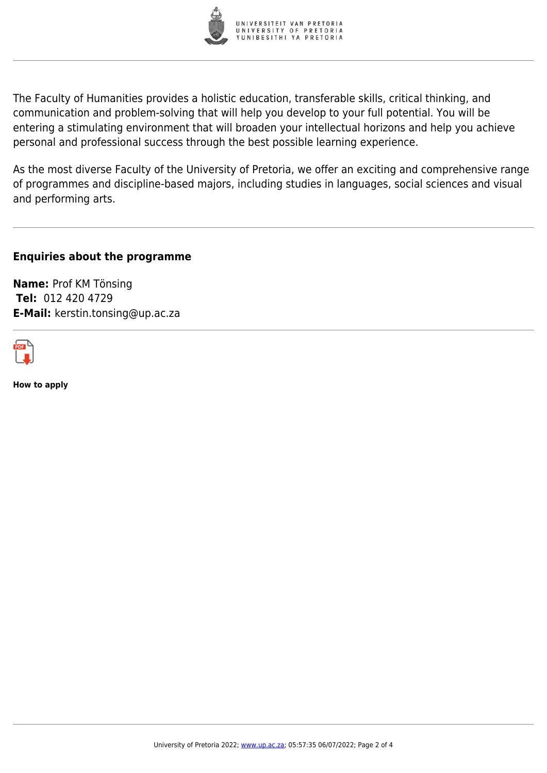

The Faculty of Humanities provides a holistic education, transferable skills, critical thinking, and communication and problem-solving that will help you develop to your full potential. You will be entering a stimulating environment that will broaden your intellectual horizons and help you achieve personal and professional success through the best possible learning experience.

As the most diverse Faculty of the University of Pretoria, we offer an exciting and comprehensive range of programmes and discipline-based majors, including studies in languages, social sciences and visual and performing arts.

### **Enquiries about the programme**

**Name:** Prof KM Tönsing **Tel:** 012 420 4729 **E-Mail:** kerstin.tonsing@up.ac.za



**How to apply**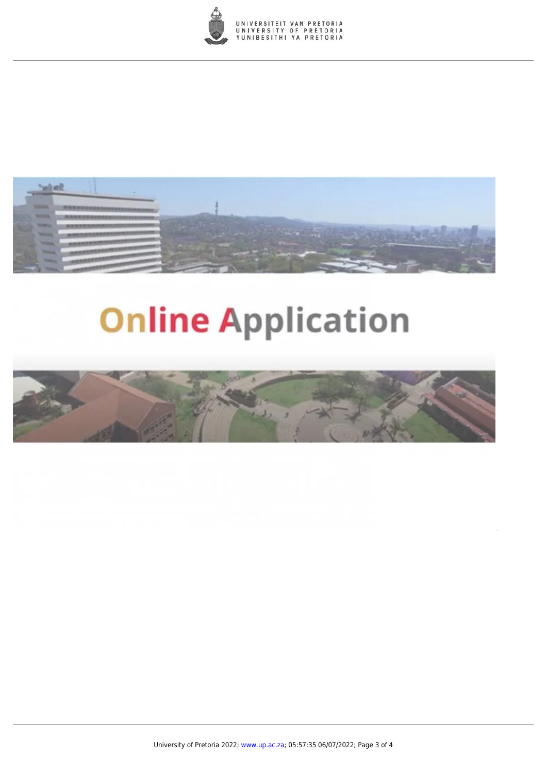



# **Online Application**